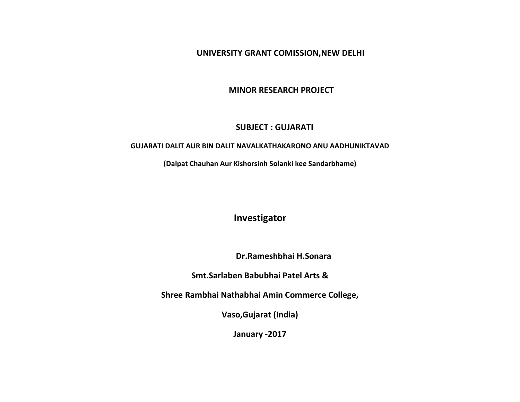**UNIVERSITY GRANT COMISSION,NEW DELHI** 

 **MINOR RESEARCH PROJECT**

## **SUBJECT : GUJARATI**

### **GUJARATI DALIT AUR BIN DALIT NAVALKATHAKARONO ANU AADHUNIKTAVAD**

**(Dalpat Chauhan Aur Kishorsinh Solanki kee Sandarbhame)**

**Investigator**

 **Dr.Rameshbhai H.Sonara**

**Smt.Sarlaben Babubhai Patel Arts &**

**Shree Rambhai Nathabhai Amin Commerce College,**

**Vaso,Gujarat (India)**

**January -2017**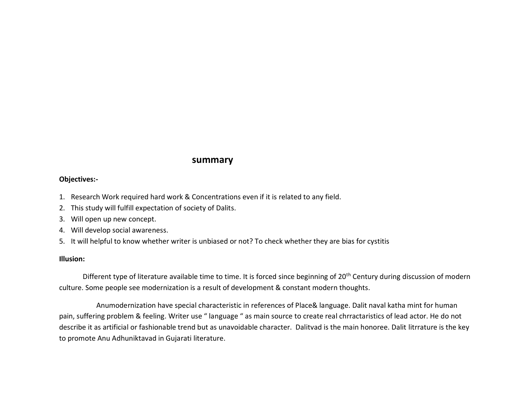# **summary**

#### **Objectives:-**

- 1. Research Work required hard work & Concentrations even if it is related to any field.
- 2. This study will fulfill expectation of society of Dalits.
- 3. Will open up new concept.
- 4. Will develop social awareness.
- 5. It will helpful to know whether writer is unbiased or not? To check whether they are bias for cystitis

### **Illusion:**

Different type of literature available time to time. It is forced since beginning of 20<sup>th</sup> Century during discussion of modern culture. Some people see modernization is a result of development & constant modern thoughts.

Anumodernization have special characteristic in references of Place& language. Dalit naval katha mint for human pain, suffering problem & feeling. Writer use " language " as main source to create real chrractaristics of lead actor. He do not describe it as artificial or fashionable trend but as unavoidable character. Dalitvad is the main honoree. Dalit litrrature is the key to promote Anu Adhuniktavad in Gujarati literature.